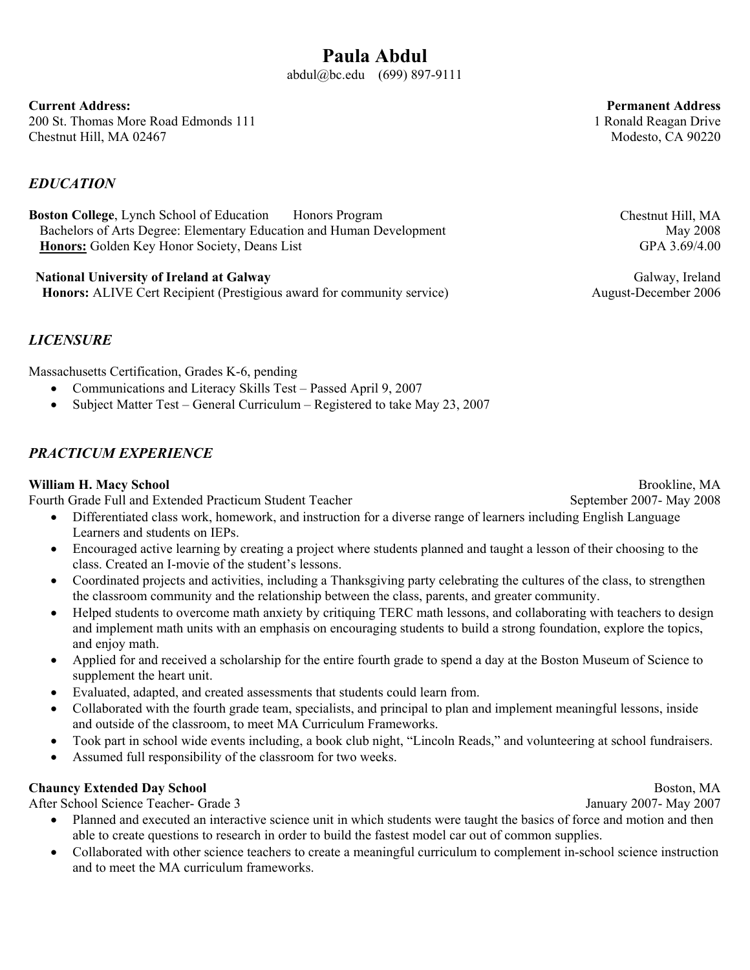**Current Address:**  200 St. Thomas More Road Edmonds 111 Chestnut Hill, MA 02467

#### *EDUCATION*

**Boston College**, Lynch School of Education Honors Program Bachelors of Arts Degree: Elementary Education and Human Development **Honors:** Golden Key Honor Society, Deans List

 **National University of Ireland at Galway Honors:** ALIVE Cert Recipient (Prestigious award for community service)

*LICENSURE* 

Massachusetts Certification, Grades K-6, pending

- Communications and Literacy Skills Test Passed April 9, 2007
- Subject Matter Test General Curriculum Registered to take May 23, 2007

#### *PRACTICUM EXPERIENCE*

#### **William H. Macy School**

Fourth Grade Full and Extended Practicum Student Teacher

- Differentiated class work, homework, and instruction for a diverse range of learners including English Language Learners and students on IEPs.
- Encouraged active learning by creating a project where students planned and taught a lesson of their choosing to the class. Created an I-movie of the student's lessons.
- Coordinated projects and activities, including a Thanksgiving party celebrating the cultures of the class, to strengthen the classroom community and the relationship between the class, parents, and greater community.
- Helped students to overcome math anxiety by critiquing TERC math lessons, and collaborating with teachers to design and implement math units with an emphasis on encouraging students to build a strong foundation, explore the topics, and enjoy math.
- x Applied for and received a scholarship for the entire fourth grade to spend a day at the Boston Museum of Science to supplement the heart unit.
- x Evaluated, adapted, and created assessments that students could learn from.
- Collaborated with the fourth grade team, specialists, and principal to plan and implement meaningful lessons, inside and outside of the classroom, to meet MA Curriculum Frameworks.
- Took part in school wide events including, a book club night, "Lincoln Reads," and volunteering at school fundraisers.
- Assumed full responsibility of the classroom for two weeks.

#### **Chauncy Extended Day School**

After School Science Teacher- Grade 3

- Planned and executed an interactive science unit in which students were taught the basics of force and motion and then able to create questions to research in order to build the fastest model car out of common supplies.
- Collaborated with other science teachers to create a meaningful curriculum to complement in-school science instruction and to meet the MA curriculum frameworks.

Chestnut Hill, MA May 2008 GPA 3.69/4.00

Galway, Ireland August-December 2006

Brookline, MA September 2007- May 2008

Modesto, CA 90220

**Permanent Address** 1 Ronald Reagan Drive

Boston, MA January 2007- May 2007